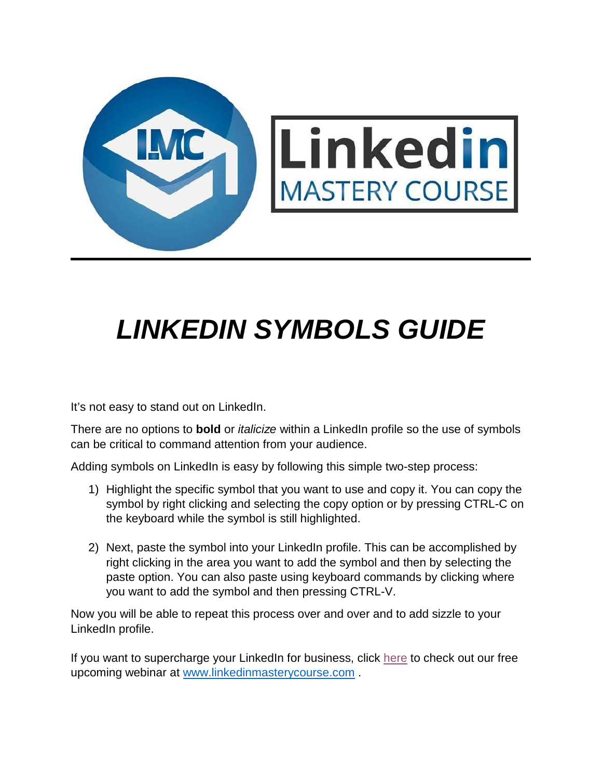

## *LINKEDIN SYMBOLS GUIDE*

It's not easy to stand out on LinkedIn.

There are no options to **bold** or *italicize* within a LinkedIn profile so the use of symbols can be critical to command attention from your audience.

Adding symbols on LinkedIn is easy by following this simple two-step process:

- 1) Highlight the specific symbol that you want to use and copy it. You can copy the symbol by right clicking and selecting the copy option or by pressing CTRL-C on the keyboard while the symbol is still highlighted.
- 2) Next, paste the symbol into your LinkedIn profile. This can be accomplished by right clicking in the area you want to add the symbol and then by selecting the paste option. You can also paste using keyboard commands by clicking where you want to add the symbol and then pressing CTRL-V.

Now you will be able to repeat this process over and over and to add sizzle to your LinkedIn profile.

If you want to supercharge your LinkedIn for business, click [here](http://www.linkedinmasterycourse.com/) to check out our free upcoming webinar at [www.linkedinmasterycourse.com](http://www.linkedinmasterycourse.com/) .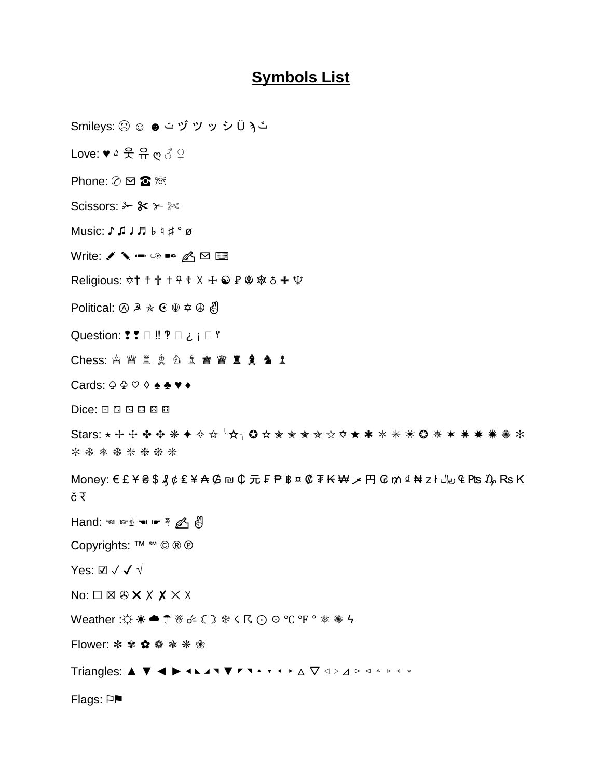## **Symbols List**

Smileys: ☹ ☺ ☻ ت ヅ ツ ッ シ Ü ϡ ٿ

Love: ♥ ۵ 웃 유 ღ ♂ ♀

Phone:  $\oslash \boxtimes \otimes \otimes$ 

Scissors:  $\&$   $\&$   $\&$ 

Music: ♪ ♫ ♩ ♬ ♭ ♮ ♯ ° ø

Write:  $\triangle$   $\triangle$   $\blacksquare$   $\heartsuit$   $\blacksquare$ 

Religious: ✡† ☨ ✞ ✝ ☥ ☦ ☓ ☩ ☯ ☧ ☬ ☸ ♁ ✙ ♆

Political:  $\textcircled{a} \mathbb{A} \star \mathbb{C} \times \mathbb{Q} \star \mathbb{A}$ 

Question:  $? ? \Box$ !!  $? \Box$  :  $\Box$  ?

**Chess: ≌ 瞥 罝 臭 名 釒 瞥 瞥 罝 臭 刍 釒** 

Cards: ♤ ♧ ♡ ♢ ♠ ♣ ♥ ♦

Dice: ⚀ ⚁ ⚂ ⚃ ⚄ ⚅

Stars: \* + + \* \* \* \* \* ☆☆└☆┐ ◎ ☆☆☆☆☆☆☆★ \* \* \* \* \* \* \* \* \* \* \* \* \* \* \* ✼ ❄ ❅ ❆ ❇ ❈ ❉ ❊

Money:  $\epsilon$ £ ¥ ₴ \$  $\ell$  ¢ £ ¥ ₳ ₲ ₪ ₵ 元 ₣ ₱ ฿ ¤ ₡ ₮ ₭ ₩ 〆 円 ₢ ₥ ₫ ₦ z ł بال ₠ ₧s  $\tilde{\mathcal{D}}_P$  Rs K č र

 $\Box$  Hand: ☜ ☞ ☝ ☜ ☞ ☟ ⚠ ៀ

Copyrights: ™ ℠ © ® ℗

Yes: ☑ ✓ ✓ √

 $N$ o:  $\Box \boxtimes \odot \times \times \times \times \times \times$ 

Weather :☼ ☀ ☁ ☂ ☃ ☄ ☾ ☽ ❄ ☇ ☈ ⊙ ☉ ℃ ℉ ° ❅ ✺ ϟ

Flower: ✽ ✾ ✿ ❁ ❃ ❋ ❀

Triangles: ▲ ▼ ◄ ► ◀ ◣ ◢ ◥ ▼ ◤ ◥ ▴ ▾ ◂ ▸ △ ▽ ◁ ▷ ⊿ ▻ ◅ ▵ ▹ ◃ ▿

**Flags: P■**